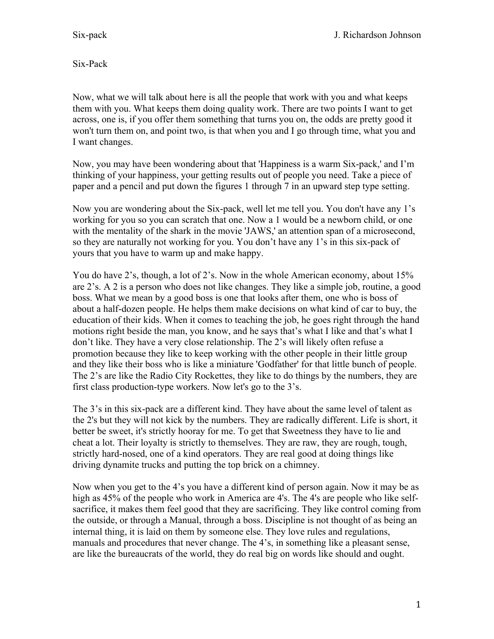Six-Pack

Now, what we will talk about here is all the people that work with you and what keeps them with you. What keeps them doing quality work. There are two points I want to get across, one is, if you offer them something that turns you on, the odds are pretty good it won't turn them on, and point two, is that when you and I go through time, what you and I want changes.

Now, you may have been wondering about that 'Happiness is a warm Six-pack,' and I'm thinking of your happiness, your getting results out of people you need. Take a piece of paper and a pencil and put down the figures 1 through 7 in an upward step type setting.

Now you are wondering about the Six-pack, well let me tell you. You don't have any 1's working for you so you can scratch that one. Now a 1 would be a newborn child, or one with the mentality of the shark in the movie 'JAWS,' an attention span of a microsecond, so they are naturally not working for you. You don't have any 1's in this six-pack of yours that you have to warm up and make happy.

You do have 2's, though, a lot of 2's. Now in the whole American economy, about 15% are 2's. A 2 is a person who does not like changes. They like a simple job, routine, a good boss. What we mean by a good boss is one that looks after them, one who is boss of about a half-dozen people. He helps them make decisions on what kind of car to buy, the education of their kids. When it comes to teaching the job, he goes right through the hand motions right beside the man, you know, and he says that's what I like and that's what I don't like. They have a very close relationship. The 2's will likely often refuse a promotion because they like to keep working with the other people in their little group and they like their boss who is like a miniature 'Godfather' for that little bunch of people. The 2's are like the Radio City Rockettes, they like to do things by the numbers, they are first class production-type workers. Now let's go to the 3's.

The 3's in this six-pack are a different kind. They have about the same level of talent as the 2's but they will not kick by the numbers. They are radically different. Life is short, it better be sweet, it's strictly hooray for me. To get that Sweetness they have to lie and cheat a lot. Their loyalty is strictly to themselves. They are raw, they are rough, tough, strictly hard-nosed, one of a kind operators. They are real good at doing things like driving dynamite trucks and putting the top brick on a chimney.

Now when you get to the 4's you have a different kind of person again. Now it may be as high as 45% of the people who work in America are 4's. The 4's are people who like selfsacrifice, it makes them feel good that they are sacrificing. They like control coming from the outside, or through a Manual, through a boss. Discipline is not thought of as being an internal thing, it is laid on them by someone else. They love rules and regulations, manuals and procedures that never change. The 4's, in something like a pleasant sense, are like the bureaucrats of the world, they do real big on words like should and ought.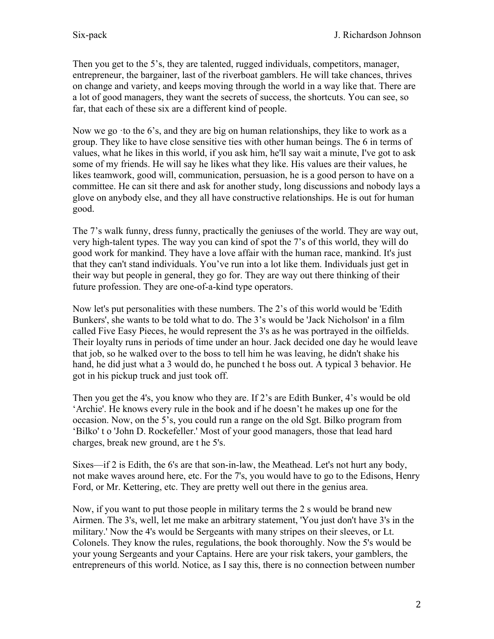Then you get to the 5's, they are talented, rugged individuals, competitors, manager, entrepreneur, the bargainer, last of the riverboat gamblers. He will take chances, thrives on change and variety, and keeps moving through the world in a way like that. There are a lot of good managers, they want the secrets of success, the shortcuts. You can see, so far, that each of these six are a different kind of people.

Now we go  $\cdot$  to the 6's, and they are big on human relationships, they like to work as a group. They like to have close sensitive ties with other human beings. The 6 in terms of values, what he likes in this world, if you ask him, he'll say wait a minute, I've got to ask some of my friends. He will say he likes what they like. His values are their values, he likes teamwork, good will, communication, persuasion, he is a good person to have on a committee. He can sit there and ask for another study, long discussions and nobody lays a glove on anybody else, and they all have constructive relationships. He is out for human good.

The 7's walk funny, dress funny, practically the geniuses of the world. They are way out, very high-talent types. The way you can kind of spot the 7's of this world, they will do good work for mankind. They have a love affair with the human race, mankind. It's just that they can't stand individuals. You've run into a lot like them. Individuals just get in their way but people in general, they go for. They are way out there thinking of their future profession. They are one-of-a-kind type operators.

Now let's put personalities with these numbers. The 2's of this world would be 'Edith Bunkers', she wants to be told what to do. The 3's would be 'Jack Nicholson' in a film called Five Easy Pieces, he would represent the 3's as he was portrayed in the oilfields. Their loyalty runs in periods of time under an hour. Jack decided one day he would leave that job, so he walked over to the boss to tell him he was leaving, he didn't shake his hand, he did just what a 3 would do, he punched t he boss out. A typical 3 behavior. He got in his pickup truck and just took off.

Then you get the 4's, you know who they are. If 2's are Edith Bunker, 4's would be old 'Archie'. He knows every rule in the book and if he doesn't he makes up one for the occasion. Now, on the 5's, you could run a range on the old Sgt. Bilko program from 'Bilko' t o 'John D. Rockefeller.' Most of your good managers, those that lead hard charges, break new ground, are t he 5's.

Sixes—if 2 is Edith, the 6's are that son-in-law, the Meathead. Let's not hurt any body, not make waves around here, etc. For the 7's, you would have to go to the Edisons, Henry Ford, or Mr. Kettering, etc. They are pretty well out there in the genius area.

Now, if you want to put those people in military terms the 2 s would be brand new Airmen. The 3's, well, let me make an arbitrary statement, 'You just don't have 3's in the military.' Now the 4's would be Sergeants with many stripes on their sleeves, or Lt. Colonels. They know the rules, regulations, the book thoroughly. Now the 5's would be your young Sergeants and your Captains. Here are your risk takers, your gamblers, the entrepreneurs of this world. Notice, as I say this, there is no connection between number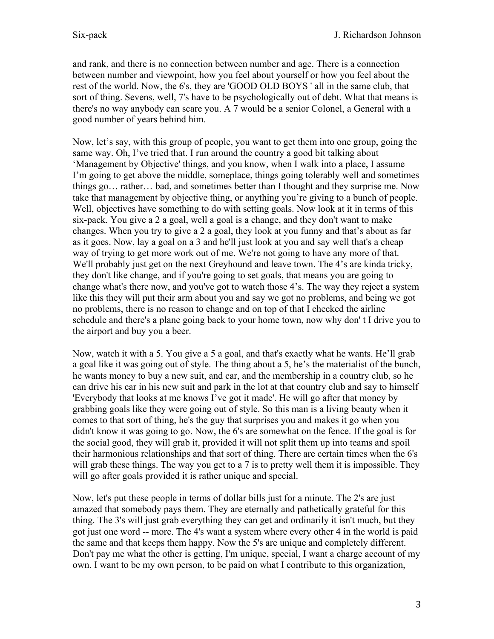and rank, and there is no connection between number and age. There is a connection between number and viewpoint, how you feel about yourself or how you feel about the rest of the world. Now, the 6's, they are 'GOOD OLD BOYS ' all in the same club, that sort of thing. Sevens, well, 7's have to be psychologically out of debt. What that means is there's no way anybody can scare you. A 7 would be a senior Colonel, a General with a good number of years behind him.

Now, let's say, with this group of people, you want to get them into one group, going the same way. Oh, I've tried that. I run around the country a good bit talking about 'Management by Objective' things, and you know, when I walk into a place, I assume I'm going to get above the middle, someplace, things going tolerably well and sometimes things go… rather… bad, and sometimes better than I thought and they surprise me. Now take that management by objective thing, or anything you're giving to a bunch of people. Well, objectives have something to do with setting goals. Now look at it in terms of this six-pack. You give a 2 a goal, well a goal is a change, and they don't want to make changes. When you try to give a 2 a goal, they look at you funny and that's about as far as it goes. Now, lay a goal on a 3 and he'll just look at you and say well that's a cheap way of trying to get more work out of me. We're not going to have any more of that. We'll probably just get on the next Greyhound and leave town. The 4's are kinda tricky, they don't like change, and if you're going to set goals, that means you are going to change what's there now, and you've got to watch those 4's. The way they reject a system like this they will put their arm about you and say we got no problems, and being we got no problems, there is no reason to change and on top of that I checked the airline schedule and there's a plane going back to your home town, now why don' t I drive you to the airport and buy you a beer.

Now, watch it with a 5. You give a 5 a goal, and that's exactly what he wants. He'll grab a goal like it was going out of style. The thing about a 5, he's the materialist of the bunch, he wants money to buy a new suit, and car, and the membership in a country club, so he can drive his car in his new suit and park in the lot at that country club and say to himself 'Everybody that looks at me knows I've got it made'. He will go after that money by grabbing goals like they were going out of style. So this man is a living beauty when it comes to that sort of thing, he's the guy that surprises you and makes it go when you didn't know it was going to go. Now, the 6's are somewhat on the fence. If the goal is for the social good, they will grab it, provided it will not split them up into teams and spoil their harmonious relationships and that sort of thing. There are certain times when the 6's will grab these things. The way you get to a 7 is to pretty well them it is impossible. They will go after goals provided it is rather unique and special.

Now, let's put these people in terms of dollar bills just for a minute. The 2's are just amazed that somebody pays them. They are eternally and pathetically grateful for this thing. The 3's will just grab everything they can get and ordinarily it isn't much, but they got just one word -- more. The 4's want a system where every other 4 in the world is paid the same and that keeps them happy. Now the 5's are unique and completely different. Don't pay me what the other is getting, I'm unique, special, I want a charge account of my own. I want to be my own person, to be paid on what I contribute to this organization,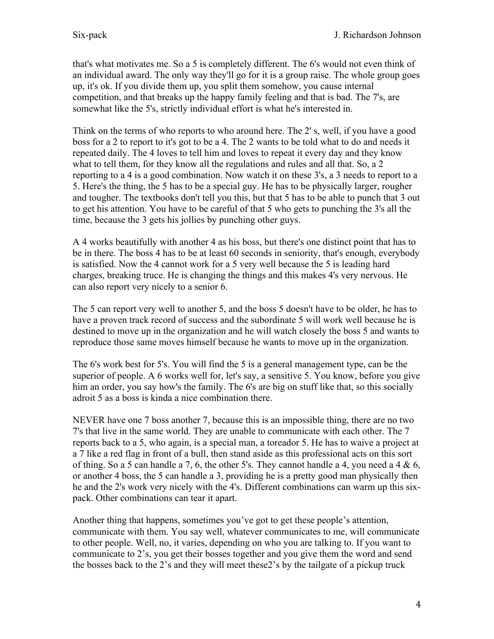that's what motivates me. So a 5 is completely different. The 6's would not even think of an individual award. The only way they'll go for it is a group raise. The whole group goes up, it's ok. If you divide them up, you split them somehow, you cause internal competition, and that breaks up the happy family feeling and that is bad. The 7's, are somewhat like the 5's, strictly individual effort is what he's interested in.

Think on the terms of who reports to who around here. The 2' s, well, if you have a good boss for a 2 to report to it's got to be a 4. The 2 wants to be told what to do and needs it repeated daily. The 4 loves to tell him and loves to repeat it every day and they know what to tell them, for they know all the regulations and rules and all that. So, a 2 reporting to a 4 is a good combination. Now watch it on these 3's, a 3 needs to report to a 5. Here's the thing, the 5 has to be a special guy. He has to be physically larger, rougher and tougher. The textbooks don't tell you this, but that 5 has to be able to punch that 3 out to get his attention. You have to be careful of that 5 who gets to punching the 3's all the time, because the 3 gets his jollies by punching other guys.

A 4 works beautifully with another 4 as his boss, but there's one distinct point that has to be in there. The boss 4 has to be at least 60 seconds in seniority, that's enough, everybody is satisfied. Now the 4 cannot work for a 5 very well because the 5 is leading hard charges, breaking truce. He is changing the things and this makes 4's very nervous. He can also report very nicely to a senior 6.

The 5 can report very well to another 5, and the boss 5 doesn't have to be older, he has to have a proven track record of success and the subordinate 5 will work well because he is destined to move up in the organization and he will watch closely the boss 5 and wants to reproduce those same moves himself because he wants to move up in the organization.

The 6's work best for 5's. You will find the 5 is a general management type, can be the superior of people. A 6 works well for, let's say, a sensitive 5. You know, before you give him an order, you say how's the family. The 6's are big on stuff like that, so this socially adroit 5 as a boss is kinda a nice combination there.

NEVER have one 7 boss another 7, because this is an impossible thing, there are no two 7's that live in the same world. They are unable to communicate with each other. The 7 reports back to a 5, who again, is a special man, a toreador 5. He has to waive a project at a 7 like a red flag in front of a bull, then stand aside as this professional acts on this sort of thing. So a 5 can handle a 7, 6, the other 5's. They cannot handle a 4, you need a 4  $\&$  6, or another 4 boss, the 5 can handle a 3, providing he is a pretty good man physically then he and the 2's work very nicely with the 4's. Different combinations can warm up this sixpack. Other combinations can tear it apart.

Another thing that happens, sometimes you've got to get these people's attention, communicate with them. You say well, whatever communicates to me, will communicate to other people. Well, no, it varies, depending on who you are talking to. If you want to communicate to 2's, you get their bosses together and you give them the word and send the bosses back to the 2's and they will meet these2's by the tailgate of a pickup truck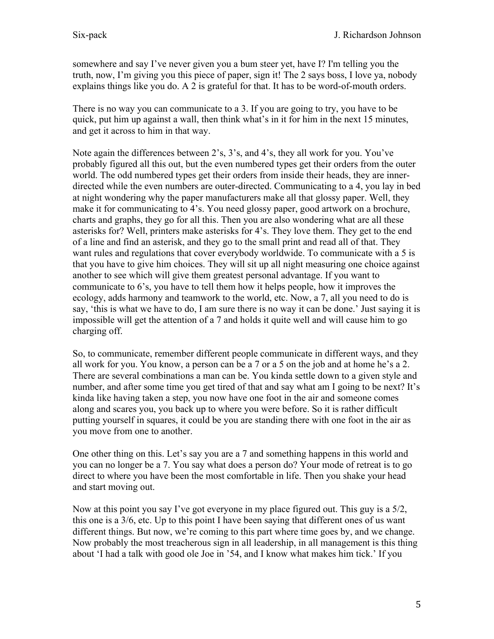somewhere and say I've never given you a bum steer yet, have I? I'm telling you the truth, now, I'm giving you this piece of paper, sign it! The 2 says boss, I love ya, nobody explains things like you do. A 2 is grateful for that. It has to be word-of-mouth orders.

There is no way you can communicate to a 3. If you are going to try, you have to be quick, put him up against a wall, then think what's in it for him in the next 15 minutes, and get it across to him in that way.

Note again the differences between 2's, 3's, and 4's, they all work for you. You've probably figured all this out, but the even numbered types get their orders from the outer world. The odd numbered types get their orders from inside their heads, they are innerdirected while the even numbers are outer-directed. Communicating to a 4, you lay in bed at night wondering why the paper manufacturers make all that glossy paper. Well, they make it for communicating to 4's. You need glossy paper, good artwork on a brochure, charts and graphs, they go for all this. Then you are also wondering what are all these asterisks for? Well, printers make asterisks for 4's. They love them. They get to the end of a line and find an asterisk, and they go to the small print and read all of that. They want rules and regulations that cover everybody worldwide. To communicate with a 5 is that you have to give him choices. They will sit up all night measuring one choice against another to see which will give them greatest personal advantage. If you want to communicate to 6's, you have to tell them how it helps people, how it improves the ecology, adds harmony and teamwork to the world, etc. Now, a 7, all you need to do is say, 'this is what we have to do, I am sure there is no way it can be done.' Just saying it is impossible will get the attention of a 7 and holds it quite well and will cause him to go charging off.

So, to communicate, remember different people communicate in different ways, and they all work for you. You know, a person can be a 7 or a 5 on the job and at home he's a 2. There are several combinations a man can be. You kinda settle down to a given style and number, and after some time you get tired of that and say what am I going to be next? It's kinda like having taken a step, you now have one foot in the air and someone comes along and scares you, you back up to where you were before. So it is rather difficult putting yourself in squares, it could be you are standing there with one foot in the air as you move from one to another.

One other thing on this. Let's say you are a 7 and something happens in this world and you can no longer be a 7. You say what does a person do? Your mode of retreat is to go direct to where you have been the most comfortable in life. Then you shake your head and start moving out.

Now at this point you say I've got everyone in my place figured out. This guy is a 5/2, this one is a 3/6, etc. Up to this point I have been saying that different ones of us want different things. But now, we're coming to this part where time goes by, and we change. Now probably the most treacherous sign in all leadership, in all management is this thing about 'I had a talk with good ole Joe in '54, and I know what makes him tick.' If you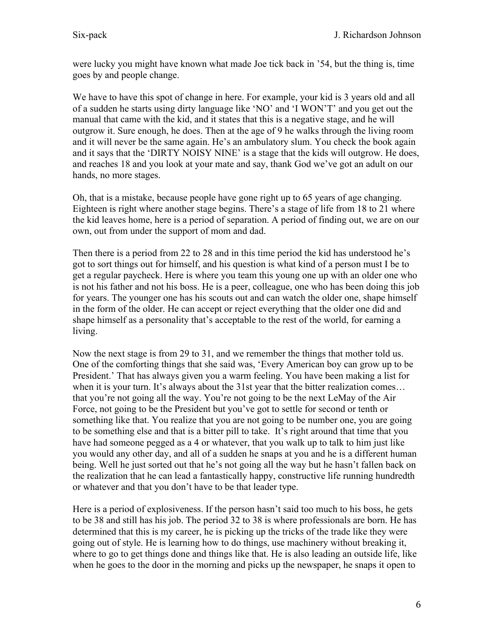were lucky you might have known what made Joe tick back in '54, but the thing is, time goes by and people change.

We have to have this spot of change in here. For example, your kid is 3 years old and all of a sudden he starts using dirty language like 'NO' and 'I WON'T' and you get out the manual that came with the kid, and it states that this is a negative stage, and he will outgrow it. Sure enough, he does. Then at the age of 9 he walks through the living room and it will never be the same again. He's an ambulatory slum. You check the book again and it says that the 'DIRTY NOISY NINE' is a stage that the kids will outgrow. He does, and reaches 18 and you look at your mate and say, thank God we've got an adult on our hands, no more stages.

Oh, that is a mistake, because people have gone right up to 65 years of age changing. Eighteen is right where another stage begins. There's a stage of life from 18 to 21 where the kid leaves home, here is a period of separation. A period of finding out, we are on our own, out from under the support of mom and dad.

Then there is a period from 22 to 28 and in this time period the kid has understood he's got to sort things out for himself, and his question is what kind of a person must I be to get a regular paycheck. Here is where you team this young one up with an older one who is not his father and not his boss. He is a peer, colleague, one who has been doing this job for years. The younger one has his scouts out and can watch the older one, shape himself in the form of the older. He can accept or reject everything that the older one did and shape himself as a personality that's acceptable to the rest of the world, for earning a living.

Now the next stage is from 29 to 31, and we remember the things that mother told us. One of the comforting things that she said was, 'Every American boy can grow up to be President.' That has always given you a warm feeling. You have been making a list for when it is your turn. It's always about the 31st year that the bitter realization comes... that you're not going all the way. You're not going to be the next LeMay of the Air Force, not going to be the President but you've got to settle for second or tenth or something like that. You realize that you are not going to be number one, you are going to be something else and that is a bitter pill to take. It's right around that time that you have had someone pegged as a 4 or whatever, that you walk up to talk to him just like you would any other day, and all of a sudden he snaps at you and he is a different human being. Well he just sorted out that he's not going all the way but he hasn't fallen back on the realization that he can lead a fantastically happy, constructive life running hundredth or whatever and that you don't have to be that leader type.

Here is a period of explosiveness. If the person hasn't said too much to his boss, he gets to be 38 and still has his job. The period 32 to 38 is where professionals are born. He has determined that this is my career, he is picking up the tricks of the trade like they were going out of style. He is learning how to do things, use machinery without breaking it, where to go to get things done and things like that. He is also leading an outside life, like when he goes to the door in the morning and picks up the newspaper, he snaps it open to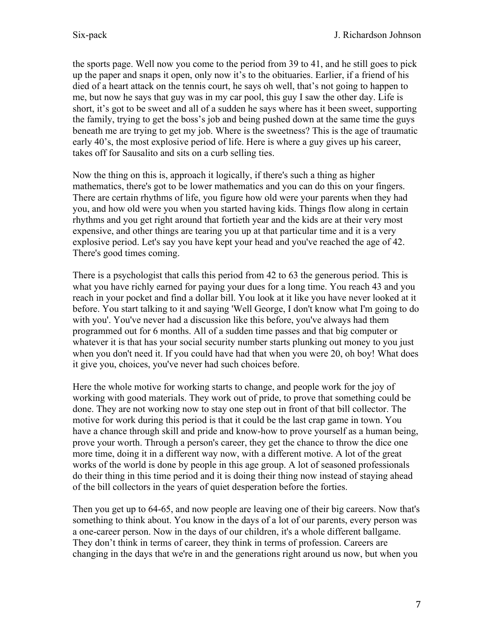the sports page. Well now you come to the period from 39 to 41, and he still goes to pick up the paper and snaps it open, only now it's to the obituaries. Earlier, if a friend of his died of a heart attack on the tennis court, he says oh well, that's not going to happen to me, but now he says that guy was in my car pool, this guy I saw the other day. Life is short, it's got to be sweet and all of a sudden he says where has it been sweet, supporting the family, trying to get the boss's job and being pushed down at the same time the guys beneath me are trying to get my job. Where is the sweetness? This is the age of traumatic early 40's, the most explosive period of life. Here is where a guy gives up his career, takes off for Sausalito and sits on a curb selling ties.

Now the thing on this is, approach it logically, if there's such a thing as higher mathematics, there's got to be lower mathematics and you can do this on your fingers. There are certain rhythms of life, you figure how old were your parents when they had you, and how old were you when you started having kids. Things flow along in certain rhythms and you get right around that fortieth year and the kids are at their very most expensive, and other things are tearing you up at that particular time and it is a very explosive period. Let's say you have kept your head and you've reached the age of 42. There's good times coming.

There is a psychologist that calls this period from 42 to 63 the generous period. This is what you have richly earned for paying your dues for a long time. You reach 43 and you reach in your pocket and find a dollar bill. You look at it like you have never looked at it before. You start talking to it and saying 'Well George, I don't know what I'm going to do with you'. You've never had a discussion like this before, you've always had them programmed out for 6 months. All of a sudden time passes and that big computer or whatever it is that has your social security number starts plunking out money to you just when you don't need it. If you could have had that when you were 20, oh boy! What does it give you, choices, you've never had such choices before.

Here the whole motive for working starts to change, and people work for the joy of working with good materials. They work out of pride, to prove that something could be done. They are not working now to stay one step out in front of that bill collector. The motive for work during this period is that it could be the last crap game in town. You have a chance through skill and pride and know-how to prove yourself as a human being, prove your worth. Through a person's career, they get the chance to throw the dice one more time, doing it in a different way now, with a different motive. A lot of the great works of the world is done by people in this age group. A lot of seasoned professionals do their thing in this time period and it is doing their thing now instead of staying ahead of the bill collectors in the years of quiet desperation before the forties.

Then you get up to 64-65, and now people are leaving one of their big careers. Now that's something to think about. You know in the days of a lot of our parents, every person was a one-career person. Now in the days of our children, it's a whole different ballgame. They don't think in terms of career, they think in terms of profession. Careers are changing in the days that we're in and the generations right around us now, but when you